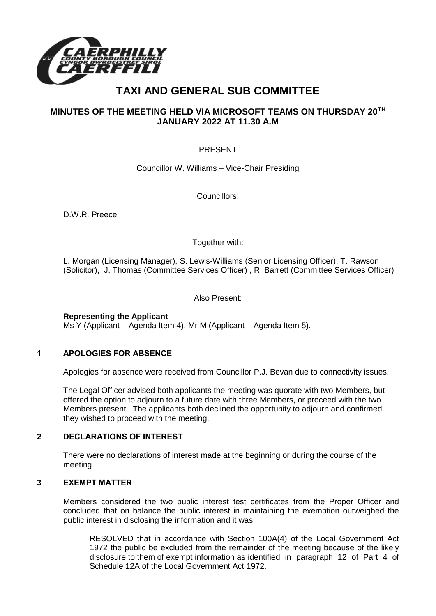

# **TAXI AND GENERAL SUB COMMITTEE**

## **MINUTES OF THE MEETING HELD VIA MICROSOFT TEAMS ON THURSDAY 20TH JANUARY 2022 AT 11.30 A.M**

## PRESENT

Councillor W. Williams – Vice-Chair Presiding

Councillors:

D.W.R. Preece

Together with:

L. Morgan (Licensing Manager), S. Lewis-Williams (Senior Licensing Officer), T. Rawson (Solicitor), J. Thomas (Committee Services Officer) , R. Barrett (Committee Services Officer)

Also Present:

#### **Representing the Applicant**

Ms Y (Applicant – Agenda Item 4), Mr M (Applicant – Agenda Item 5).

#### **1 APOLOGIES FOR ABSENCE**

Apologies for absence were received from Councillor P.J. Bevan due to connectivity issues.

The Legal Officer advised both applicants the meeting was quorate with two Members, but offered the option to adjourn to a future date with three Members, or proceed with the two Members present. The applicants both declined the opportunity to adjourn and confirmed they wished to proceed with the meeting.

### **2 DECLARATIONS OF INTEREST**

There were no declarations of interest made at the beginning or during the course of the meeting.

#### **3 EXEMPT MATTER**

Members considered the two public interest test certificates from the Proper Officer and concluded that on balance the public interest in maintaining the exemption outweighed the public interest in disclosing the information and it was

RESOLVED that in accordance with Section 100A(4) of the Local Government Act 1972 the public be excluded from the remainder of the meeting because of the likely disclosure to them of exempt information as identified in paragraph 12 of Part 4 of Schedule 12A of the Local Government Act 1972.